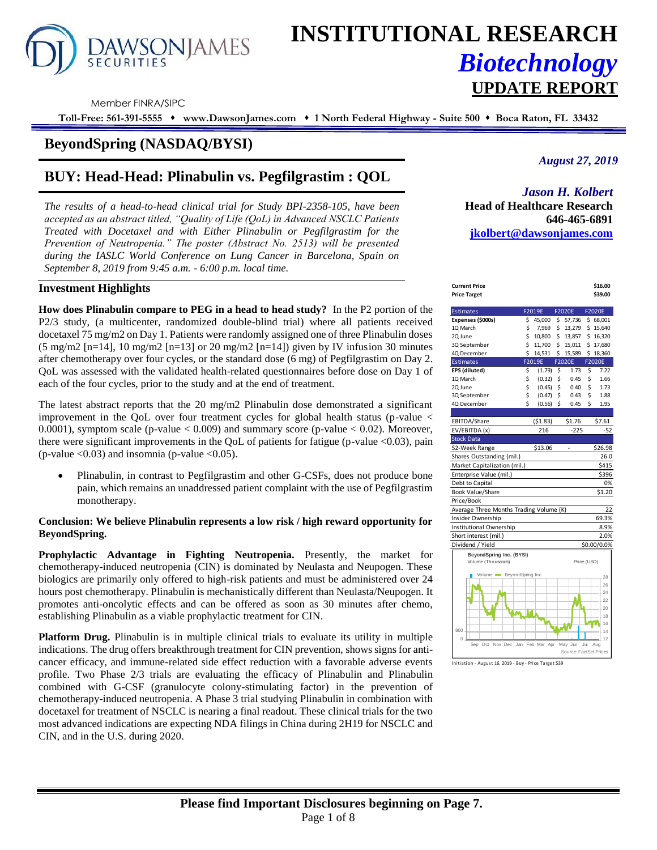

# **INSTITUTIONAL RESEARCH** *Biotechnology* **UPDATE REPORT**

Member FINRA/SIPC

**Toll-Free: 561-391-5555** ⬧ **www.DawsonJames.com** ⬧ **1 North Federal Highway - Suite 500** ⬧ **Boca Raton, FL 33432**

# **BeyondSpring (NASDAQ/BYSI)**

# **BUY: Head-Head: Plinabulin vs. Pegfilgrastim : QOL**

*The results of a head-to-head clinical trial for Study BPI-2358-105, have been accepted as an abstract titled, "Quality of Life (QoL) in Advanced NSCLC Patients Treated with Docetaxel and with Either Plinabulin or Pegfilgrastim for the Prevention of Neutropenia." The poster (Abstract No. 2513) will be presented during the IASLC World Conference on Lung Cancer in Barcelona, Spain on September 8, 2019 from 9:45 a.m. - 6:00 p.m. local time.*

#### **Investment Highlights**

**How does Plinabulin compare to PEG in a head to head study?** In the P2 portion of the P2/3 study, (a multicenter, randomized double-blind trial) where all patients received docetaxel 75 mg/m2 on Day 1. Patients were randomly assigned one of three Plinabulin doses  $(5 \text{ mg/m2 [n=14], 10 \text{ mg/m2 [n=13] or 20 mg/m2 [n=14])}$  given by IV infusion 30 minutes after chemotherapy over four cycles, or the standard dose (6 mg) of Pegfilgrastim on Day 2. QoL was assessed with the validated health-related questionnaires before dose on Day 1 of each of the four cycles, prior to the study and at the end of treatment.

The latest abstract reports that the 20 mg/m2 Plinabulin dose demonstrated a significant improvement in the QoL over four treatment cycles for global health status (p-value < 0.0001), symptom scale (p-value  $< 0.009$ ) and summary score (p-value  $< 0.02$ ). Moreover, there were significant improvements in the QoL of patients for fatigue (p-value <0.03), pain (p-value  $\langle 0.03 \rangle$  and insomnia (p-value  $\langle 0.05 \rangle$ .

• Plinabulin, in contrast to Pegfilgrastim and other G-CSFs, does not produce bone pain, which remains an unaddressed patient complaint with the use of Pegfilgrastim monotherapy.

#### **Conclusion: We believe Plinabulin represents a low risk / high reward opportunity for BeyondSpring.**

**Prophylactic Advantage in Fighting Neutropenia.** Presently, the market for chemotherapy-induced neutropenia (CIN) is dominated by Neulasta and Neupogen. These biologics are primarily only offered to high-risk patients and must be administered over 24 hours post chemotherapy. Plinabulin is mechanistically different than Neulasta/Neupogen. It promotes anti-oncolytic effects and can be offered as soon as 30 minutes after chemo, establishing Plinabulin as a viable prophylactic treatment for CIN.

**Platform Drug.** Plinabulin is in multiple clinical trials to evaluate its utility in multiple indications. The drug offers breakthrough treatment for CIN prevention, shows signs for anticancer efficacy, and immune-related side effect reduction with a favorable adverse events profile. Two Phase 2/3 trials are evaluating the efficacy of Plinabulin and Plinabulin combined with G-CSF (granulocyte colony-stimulating factor) in the prevention of chemotherapy-induced neutropenia. A Phase 3 trial studying Plinabulin in combination with docetaxel for treatment of NSCLC is nearing a final readout. These clinical trials for the two most advanced indications are expecting NDA filings in China during 2H19 for NSCLC and CIN, and in the U.S. during 2020.

# *August 27, 2019*

## *Jason H. Kolbert*

**Head of Healthcare Research 646-465-6891 [jkolbert@dawsonjames.com](mailto:jkolbert@dawsonjames.com)**

| <b>Current Price</b>                    |          |                  |          |                         |             | \$16.00          |
|-----------------------------------------|----------|------------------|----------|-------------------------|-------------|------------------|
| <b>Price Target</b>                     |          |                  |          |                         |             | \$39.00          |
|                                         |          |                  |          |                         |             |                  |
| <b>Estimates</b>                        |          | F2019E           |          | <b>F2020E</b>           |             | F2020E           |
| Expenses (\$000s)                       | \$       | 45,000           | \$.      | 57,736                  |             | \$68,001         |
| 10 March                                | \$<br>\$ | 7,969            | \$       | 13,279                  |             | \$15,640         |
| 20 June                                 | \$       | 10,800<br>11,700 | Ś.<br>\$ | 13,857                  |             | \$16,320         |
| 3Q September                            | \$       |                  |          | 15,011                  |             | \$17,680         |
| 4Q December                             |          | 14,531<br>F2019E | \$       | 15,589<br><b>F2020E</b> | Ś.          | 18,360<br>F2020E |
| <b>Estimates</b>                        |          |                  |          |                         |             |                  |
| EPS (diluted)                           | \$       | (1.79)           | \$       | 1.73<br>0.45            | \$          | 7.22             |
| 1Q March                                | \$       | (0.32)           | \$<br>Ś  |                         | \$          | 1.66             |
| 2Q June                                 | \$<br>\$ | (0.45)           | \$       | 0.40                    | Ś           | 1.73             |
| 3Q September                            | Ś        | (0.47)           |          | 0.43                    | \$          | 1.88             |
| 4Q December                             |          | (0.56)           | Ś        | 0.45                    | Ś           | 1.95             |
|                                         |          |                  |          |                         |             |                  |
| EBITDA/Share                            |          | (51.83)          |          | \$1.76                  |             | \$7.61           |
| EV/EBITDA (x)                           |          | 216              |          | $-225$                  |             | $-52$            |
| <b>Stock Data</b>                       |          |                  |          |                         |             |                  |
| 52-Week Range                           |          | \$13.06          |          | ÷                       |             | \$26.98          |
| Shares Outstanding (mil.)               |          |                  |          |                         |             | 26.0             |
| Market Capitalization (mil.)            |          |                  |          |                         |             | \$415            |
| Enterprise Value (mil.)                 |          |                  |          |                         |             | \$396            |
| Debt to Capital                         |          |                  |          |                         |             | 0%               |
| <b>Book Value/Share</b>                 |          |                  |          |                         |             | \$1.20           |
| Price/Book                              |          |                  |          |                         |             |                  |
| Average Three Months Trading Volume (K) |          |                  |          |                         |             | 22               |
| Insider Ownership                       |          |                  |          |                         |             | 69.3%            |
| Institutional Ownership                 |          |                  |          |                         |             | 8.9%             |
| Short interest (mil.)                   |          |                  |          |                         |             | 2.0%             |
| Dividend / Yield                        |          |                  |          |                         |             | \$0.00/0.0%      |
| BeyondSpring Inc. (BYSI)                |          |                  |          |                         |             |                  |
| Volume (Thousands)                      |          |                  |          |                         | Price (USD) |                  |
|                                         |          |                  |          |                         |             |                  |
| BeyondSpring Inc.<br>Volume =           |          |                  |          |                         |             | 28               |
|                                         |          |                  |          |                         |             | 26               |
|                                         |          |                  |          |                         |             | 24               |
|                                         |          |                  |          |                         |             | 22               |
|                                         |          |                  |          |                         |             | 20               |
|                                         |          |                  |          |                         |             | 18               |
| 800                                     |          |                  |          |                         |             | 16<br>14         |
| 0                                       |          |                  |          |                         |             | 12               |
| Sep Oct Nov Dec Jan Feb Mar Apr         |          |                  |          | May Jun                 | Jul         | Aug              |
|                                         |          |                  |          | Source: FactSet Prices  |             |                  |
|                                         |          |                  |          |                         |             |                  |

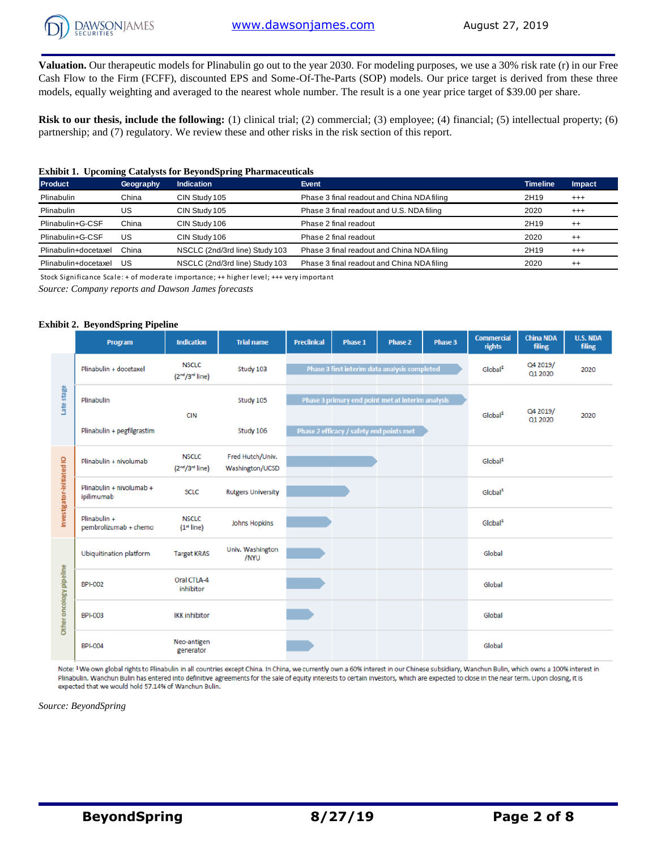

**Valuation.** Our therapeutic models for Plinabulin go out to the year 2030. For modeling purposes, we use a 30% risk rate (r) in our Free Cash Flow to the Firm (FCFF), discounted EPS and Some-Of-The-Parts (SOP) models. Our price target is derived from these three models, equally weighting and averaged to the nearest whole number. The result is a one year price target of \$39.00 per share.

**Risk to our thesis, include the following:** (1) clinical trial; (2) commercial; (3) employee; (4) financial; (5) intellectual property; (6) partnership; and (7) regulatory. We review these and other risks in the risk section of this report.

#### **Exhibit 1. Upcoming Catalysts for BeyondSpring Pharmaceuticals**

| <b>Product</b>       | Geography | <b>Indication</b>              | Event                                      | <b>Timeline</b> | Impact   |
|----------------------|-----------|--------------------------------|--------------------------------------------|-----------------|----------|
| Plinabulin           | China     | CIN Study 105                  | Phase 3 final readout and China NDA filing | 2H19            | $^{+++}$ |
| <b>Plinabulin</b>    | US        | CIN Study 105                  | Phase 3 final readout and U.S. NDA filing  | 2020            | $^{+++}$ |
| Plinabulin+G-CSF     | China     | CIN Study 106                  | Phase 2 final readout                      | 2H19            | $^{++}$  |
| Plinabulin+G-CSF     | US        | CIN Study 106                  | Phase 2 final readout                      | 2020            | $^{++}$  |
| Plinabulin+docetaxel | China     | NSCLC (2nd/3rd line) Study 103 | Phase 3 final readout and China NDA filing | 2H19            | $^{+++}$ |
| Plinabulin+docetaxel | US        | NSCLC (2nd/3rd line) Study 103 | Phase 3 final readout and China NDA filing | 2020            | $^{++}$  |

Stock Significance Scale: + of moderate importance; ++ higher level; +++ very important

*Source: Company reports and Dawson James forecasts*

#### **Exhibit 2. BeyondSpring Pipeline**

|                           | Program                                | <b>Indication</b>                                       | <b>Trial name</b>                   | <b>Preclinical</b> | Phase 1                                  | Phase 2                                           | Phase 3 | <b>Commercial</b><br>rights | <b>China NDA</b><br>filing | <b>U.S. NDA</b><br>filing |
|---------------------------|----------------------------------------|---------------------------------------------------------|-------------------------------------|--------------------|------------------------------------------|---------------------------------------------------|---------|-----------------------------|----------------------------|---------------------------|
|                           | Plinabulin + docetaxel                 | <b>NSCLC</b><br>(2 <sup>nd</sup> /3 <sup>rd</sup> line) | Study 103                           |                    |                                          | Phase 3 first interim data analysis completed     |         | Global <sup>1</sup>         | Q4 2019/<br>Q1 2020        | 2020                      |
| Late stage                | Plinabulin                             | <b>CIN</b>                                              | Study 105                           |                    |                                          | Phase 3 primary end point met at interim analysis |         | Global <sup>1</sup>         | Q4 2019/                   | 2020                      |
|                           | Plinabulin + pegfilgrastim             |                                                         | Study 106                           |                    | Phase 2 efficacy / safety end points met |                                                   |         |                             | Q1 2020                    |                           |
|                           | Plinabulin + nivolumab                 | <b>NSCLC</b><br>(2 <sup>nd</sup> /3 <sup>rd</sup> line) | Fred Hutch/Univ.<br>Washington/UCSD |                    |                                          |                                                   |         | Global <sup>1</sup>         |                            |                           |
| Investigator-initiated IO | Plinabulin + nivolumab +<br>ipilimumab | <b>SCLC</b>                                             | <b>Rutgers University</b>           |                    |                                          |                                                   |         | Global <sup>1</sup>         |                            |                           |
|                           | Plinabulin +<br>pembrolizumab + chemo  | <b>NSCLC</b><br>(1 <sup>st</sup> line)                  | <b>Johns Hopkins</b>                |                    |                                          |                                                   |         | Global <sup>1</sup>         |                            |                           |
|                           | <b>Ubiquitination platform</b>         | <b>Target KRAS</b>                                      | Univ. Washington<br>/NYU            |                    |                                          |                                                   |         | Global                      |                            |                           |
| Other oncology pipeline   | <b>BPI-002</b>                         | Oral CTLA-4<br>inhibitor                                |                                     |                    |                                          |                                                   |         | Global                      |                            |                           |
|                           | <b>BPI-003</b>                         | <b>IKK inhibitor</b>                                    |                                     |                    |                                          |                                                   |         | Global                      |                            |                           |
|                           | <b>BPI-004</b>                         | Neo-antigen<br>generator                                |                                     |                    |                                          |                                                   |         | Global                      |                            |                           |

Note: <sup>1</sup> We own global rights to Plinabulin in all countries except China. In China, we currently own a 60% interest in our Chinese subsidiary, Wanchun Bulin, which owns a 100% interest in Plinabulin. Wanchun Bulin has entered into definitive agreements for the sale of equity interests to certain investors, which are expected to close in the near term. Upon closing, it is expected that we would hold 57.14% of Wanchun Bulin.

*Source: BeyondSpring*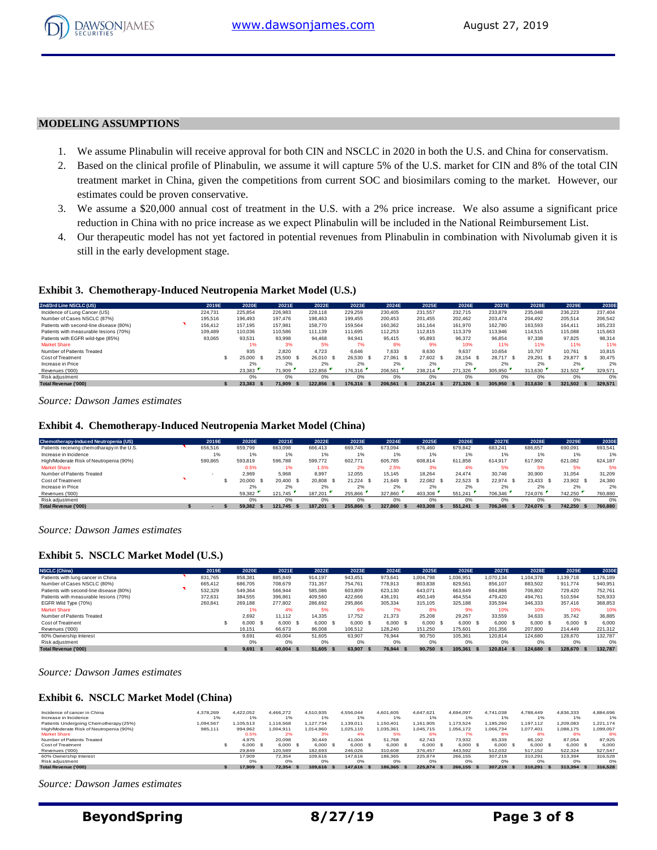

#### **MODELING ASSUMPTIONS**

- 1. We assume Plinabulin will receive approval for both CIN and NSCLC in 2020 in both the U.S. and China for conservatism.
- 2. Based on the clinical profile of Plinabulin, we assume it will capture 5% of the U.S. market for CIN and 8% of the total CIN treatment market in China, given the competitions from current SOC and biosimilars coming to the market. However, our estimates could be proven conservative.
- 3. We assume a \$20,000 annual cost of treatment in the U.S. with a 2% price increase. We also assume a significant price reduction in China with no price increase as we expect Plinabulin will be included in the National Reimbursement List.
- 4. Our therapeutic model has not yet factored in potential revenues from Plinabulin in combination with Nivolumab given it is still in the early development stage.

#### **Exhibit 3. Chemotherapy-Induced Neutropenia Market Model (U.S.)**

| <b>Exhibit 3. Chemotherapy-Induced Neutropenia Market Model (U.S.)</b> |         |           |               |           |                |                |            |           |           |           |               |         |
|------------------------------------------------------------------------|---------|-----------|---------------|-----------|----------------|----------------|------------|-----------|-----------|-----------|---------------|---------|
| 2nd/3rd Line NSCLC (US)                                                | 2019E   | 2020E     | 2021E         | 2022E     | 2023E          | 2024E          | 2025E      | 2026E     | 2027E     | 2028E     | 2029E         | 2030E   |
| Incidence of Lung Cancer (US)                                          | 224.731 | 225.854   | 226.983       | 228.118   | 229.259        | 230.405        | 231.557    | 232.715   | 233.879   | 235.048   | 236.223       | 237.404 |
| Number of Cases NSCLC (87%)                                            | 195,516 | 196.493   | 197.476       | 198.463   | 199.455        | 200.453        | 201.455    | 202.462   | 203,474   | 204.492   | 205.514       | 206,542 |
| Patients with second-line disease (80%)                                | 156,412 | 157.195   | 157.981       | 158,770   | 159.564        | 160.362        | 161.164    | 161.970   | 162.780   | 163.593   | 164.411       | 165.233 |
| Patients with measurable lesions (70%)                                 | 109,489 | 110.036   | 110,586       | 111.139   | 111.695        | 112.253        | 112.815    | 113,379   | 113,946   | 114.515   | 115,088       | 115,663 |
| Patients with EGFR wild-type (85%)                                     | 93.065  | 93.531    | 93.998        | 94.468    | 94.941         | 95.415         | 95.893     | 96.372    | 96.854    | 97.338    | 97.825        | 98,314  |
| <b>Market Share</b>                                                    |         | 1%        | 3%            | 5%        | 7%             | 8%             | 9%         | 10%       | 11%       | 11%       | 11%           | 11%     |
| Number of Patients Treated                                             |         | 935       | 2.820         | 4.723     | 6.646          | 7.633          | 8.630      | 9.637     | 10.654    | 10.707    | 10.761        | 10.815  |
| Cost of Treatment                                                      |         | 25,000 \$ | 25,500 \$     | 26.010 \$ | 26.530 \$      | 27.061<br>- \$ | 27.602 \$  | 28.154 \$ | 28.717 \$ | 29.291 \$ | 29.877<br>- S | 30.475  |
| Increase in Price                                                      |         | 2%        | 2%            | 2%        | 2%             | 2%             | 2%         | 2%        | 2%        | 2%        | 2%            | 2%      |
| Revenues ('000)                                                        |         | 23,383    | 71,909        | 122.856   | 176,316        | 206,561        | 238.214    | 271.326   | 305.950   | 313,630   | 321.502       | 329,571 |
| Risk adjustment                                                        |         | 0%        | 0%            | 0%        | 0%             | 0%             | 0%         | 0%        | 0%        | 0%        | 0%            | 0%      |
| <b>Total Revenue ('000)</b>                                            |         | 23.383 \$ | 71.909<br>- 5 | 122.856   | 176.316<br>- 5 | 206.561        | 238.214 \$ | 271.326   | 305.950   | 313.630   | 321.502       | 329,571 |
|                                                                        |         |           |               |           |                |                |            |           |           |           |               |         |

*Source: Dawson James estimates*

#### **Exhibit 4. Chemotherapy-Induced Neutropenia Market Model (China)**

| Source: Dawson James estimates                                          |         |           |            |           |             |                |           |           |                 |           |           |         |
|-------------------------------------------------------------------------|---------|-----------|------------|-----------|-------------|----------------|-----------|-----------|-----------------|-----------|-----------|---------|
|                                                                         |         |           |            |           |             |                |           |           |                 |           |           |         |
|                                                                         |         |           |            |           |             |                |           |           |                 |           |           |         |
| <b>Exhibit 4. Chemotherapy-Induced Neutropenia Market Model (China)</b> |         |           |            |           |             |                |           |           |                 |           |           |         |
| <b>Chemotherapy-Induced Neutropenia (US)</b>                            |         | 2020E     | 2021E      | 2022E     | 2023E       | 2024E          | 2025E     |           | 2027E           | 2028E     |           |         |
|                                                                         | 2019E   |           |            |           |             |                |           | 2026E     |                 |           | 2029E     | 2030E   |
| Patients receiving chemotharapy in the U.S.                             | 656,516 | 659.799   | 663,098    | 666.413   | 669.745     | 673.094        | 676,460   | 679.842   | 683.241         | 686,657   | 690.091   | 693,541 |
| Increase in Incidence                                                   | 1%      | 1%        | 1%         | 1%        | 1%          | 1%             | 1%        | 1%        | 1%              | 1%        | 1%        | 1%      |
| High/Moderate Risk of Neutropenia (90%)                                 | 590.865 | 593.819   | 596.788    | 599,772   | 602.771     | 605.785        | 608.814   | 611.858   | 614.917         | 617.992   | 621.082   | 624.187 |
| <b>Market Share</b>                                                     |         | 0.5%      | 1%         | 1.5%      | 2%          | 2.5%           | 3%        | 4%        | 5%              | 5%        | 5%        | 5%      |
| Number of Patients Treated                                              |         | 2.969     | 5.968      | 8.997     | 12.055      | 15.145         | 18.264    | 24.474    | 30.746          | 30,900    | 31,054    | 31,209  |
| Cost of Treatment                                                       |         | 20,000 \$ | 20.400 \$  | 20.808 \$ | $21.224$ \$ | 21.649<br>- \$ | 22.082 \$ | 22.523 \$ | 22.974 \$       | 23.433 \$ | 23.902 \$ | 24,380  |
| Increase in Price                                                       |         | 2%        | 2%         | 2%        | 2%          | 2%             | 2%        | 2%        | 2%              | 2%        | 2%        | 2%      |
| Revenues ('000)                                                         |         | 59.382    | 121.745    | 187.201   | 255,866     | 327.860        | 403.308   | 551.241   | 706.346         | 724.076   | 742.250   | 760,880 |
| Risk adjustment                                                         |         | 0%        | 0%         | 0%        | 0%          | 0%             | 0%        | 0%        | 0%              | 0%        | 0%        | 0%      |
| <b>Total Revenue ('000)</b>                                             |         | 59.382    | 121.745 \$ | 187.201   | 255.866     | 327.860        | 403.308   | 551.241   | 706.346<br>- 55 | 724.076   | 742.250   | 760,880 |
|                                                                         |         |           |            |           |             |                |           |           |                 |           |           |         |

*Source: Dawson James estimates*

#### **Exhibit 5. NSCLC Market Model (U.S.)**

| <b>Exhibit 5. NSCLC Market Model (U.S.)</b> |         |          |         |     |         |           |         |     |           |                 |            |            |           |      |           |
|---------------------------------------------|---------|----------|---------|-----|---------|-----------|---------|-----|-----------|-----------------|------------|------------|-----------|------|-----------|
| <b>NSCLC (China)</b>                        | 2019E   | 2020E    | 2021E   |     | 2022E   | 2023E     | 2024E   |     | 2025E     | 2026E           | 2027E      | 2028E      | 2029E     |      | 2030E     |
| Patients with lung cancer in China          | 831.765 | 858.381  | 885,849 |     | 914.197 | 943.451   | 973.641 |     | 1.004.798 | 1.036.951       | 1.070.134  | 1.104.378  | 1.139.718 |      | 1,176,189 |
| Number of Cases NSCLC (80%)                 | 665.412 | 686,705  | 708,679 |     | 731.357 | 754.761   | 778,913 |     | 803.838   | 829.561         | 856.107    | 883.502    | 911.774   |      | 940.951   |
| Patients with second-line disease (80%)     | 532,329 | 549,364  | 566,944 |     | 585.086 | 603,809   | 623,130 |     | 643.071   | 663,649         | 684,886    | 706.802    | 729,420   |      | 752.761   |
| Patients with measurable lesions (70%)      | 372.631 | 384.555  | 396.861 |     | 409.560 | 422.666   | 436.191 |     | 450.149   | 464.554         | 479,420    | 494.761    | 510.594   |      | 526,933   |
| EGFR Wild Type (70%)                        | 260,841 | 269,188  | 277,802 |     | 286,692 | 295,866   | 305,334 |     | 315,105   | 325.188         | 335,594    | 346,333    | 357,416   |      | 368,853   |
| <b>Market Share</b>                         |         | 1%       | 4%      |     | 5%      | 6%        | 7%      |     | 8%        | 9%              | 10%        | 10%        | 10%       |      | 10%       |
| Number of Patients Treated                  |         | 2.692    | 11.112  |     | 14.335  | 17.752    | 21.373  |     | 25.208    | 29.267          | 33.559     | 34.633     | 35.742    |      | 36,885    |
| Cost of Treatment                           |         | 6,000 \$ | 6.000 S |     | 6.000 S | 6.000 S   | 6.000 S |     | 6.000 S   | 6.000 \$        | 6.000 S    | 6.000 S    | 6.000 S   |      | 6,000     |
| Revenues ('000)                             |         | 16,151   | 66.673  |     | 86,008  | 106.512   | 128,240 |     | 151.250   | 175,601         | 201.356    | 207.800    | 214,449   |      | 221,312   |
| 60% Ownership Interest                      |         | 9,691    | 40.004  |     | 51.605  | 63.907    | 76.944  |     | 90,750    | 105.361         | 120,814    | 124.680    | 128,670   |      | 132.787   |
| Risk adjustment                             |         | 0%       | 0%      |     | 0%      | 0%        | 0%      |     | 0%        | 0%              | 0%         | 0%         | 0%        |      | 0%        |
| Total Revenue ('000)                        |         | 9.691 S  | 40,004  | - S | 51.605  | 63,907 \$ | 76.944  | - S | 90.750 \$ | 105,361<br>- 55 | 120.814 \$ | 124,680 \$ | 128,670   | - 55 | 132,787   |
|                                             |         |          |         |     |         |           |         |     |           |                 |            |            |           |      |           |

#### **Exhibit 6. NSCLC Market Model (China)**

| Source: Dawson James estimates               |           |           |               |           |           |           |            |           |            |               |           |           |
|----------------------------------------------|-----------|-----------|---------------|-----------|-----------|-----------|------------|-----------|------------|---------------|-----------|-----------|
| <b>Exhibit 6. NSCLC Market Model (China)</b> |           |           |               |           |           |           |            |           |            |               |           |           |
| Incidence of cancer in China                 | 4.378.269 | 4.422.052 | 4.466.272     | 4.510.935 | 4.556.044 | 4,601,605 | 4.647.621  | 4.694.097 | 4.741.038  | 4.788.449     | 4,836,333 | 4,884,696 |
| Increase in Incidence                        | 1%        | 1%        | 1%            | 1%        | 1%        | $1\%$     | 1%         | $1\%$     | 1%         | 1%            | $1\%$     | 1%        |
| Patients Undergoing Chemotherapy (25%)       | .094.567  | 1.105.513 | 1.116.568     | 1.127.734 | 1.139.011 | 1.150.401 | 1.161.905  | 1,173,524 | 1,185,260  | 1.197.112     | 1,209,083 | 1.221.174 |
| High/Moderate Risk of Neutropenia (90%)      | 985.111   | 994.962   | 1.004.911     | 1.014.960 | 1.025.110 | 1,035,361 | 1.045.715  | 1.056.172 | 1.066.734  | 1.077.401     | 1.088.175 | 1,099,057 |
| <b>Market Share</b>                          |           | 0.5%      | 2%            | 3%        | 4%        | 5%        | 6%         | 7%        | 8%         | 8%            | 8%        | 8%        |
| Number of Patients Treated                   |           | 4.975     | 20.098        | 30.449    | 41.004    | 51.768    | 62.743     | 73.932    | 85,339     | 86.192        | 87.054    | 87,925    |
| Cost of Treatment                            |           | 6,000 \$  | 6,000 \$      | 6,000 \$  | 6,000 \$  | 6,000 \$  | 6.000 \$   | 6,000 \$  | $6,000$ \$ | 6,000 \$      | 6,000 \$  | 6,000     |
| Revenues ('000)                              |           | 29,849    | 120,589       | 182.693   | 246.026   | 310,608   | 376,457    | 443,592   | 512,032    | 517,152       | 522,324   | 527,547   |
| 60% Ownership Interest                       |           | 17,909    | 72.354        | 109,616   | 147.616   | 186,365   | 225.874    | 266,155   | 307.219    | 310,291       | 313,394   | 316,528   |
| Risk adjustment                              |           | 0%        | 0%            | 0%        | 0%        | 0%        | 0%         | 0%        | 0%         | 0%            | 0%        | $0\%$     |
| <b>Total Revenue ('000)</b>                  |           | 17,909    | 72.354<br>- 9 | 109.616   | 147.616   | 186,365   | 225.874 \$ | 266.155   | 307.219    | 310.291<br>-5 | 313,394   | 316,528   |
|                                              |           |           |               |           |           |           |            |           |            |               |           |           |

*Source: Dawson James estimates*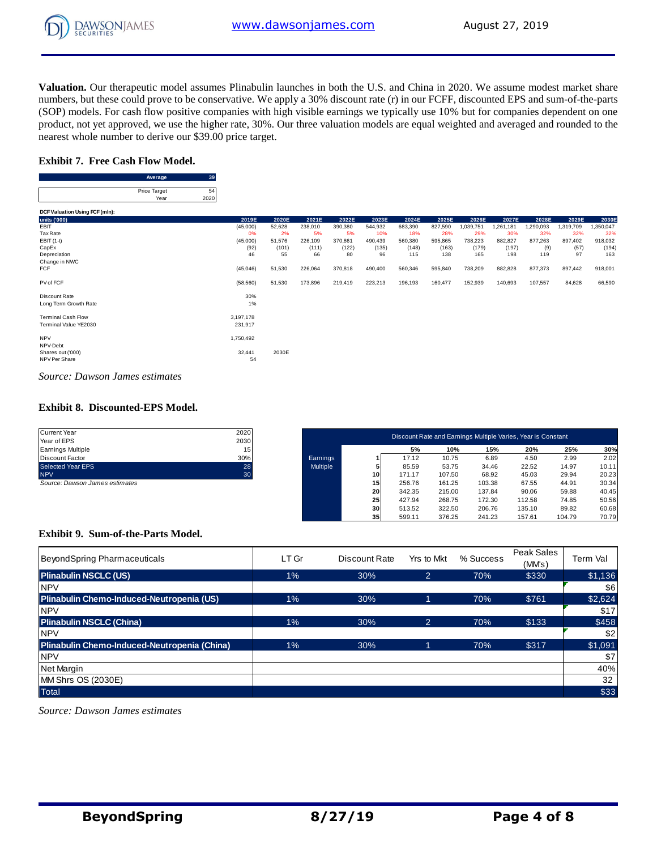**Valuation.** Our therapeutic model assumes Plinabulin launches in both the U.S. and China in 2020. We assume modest market share numbers, but these could prove to be conservative. We apply a 30% discount rate (r) in our FCFF, discounted EPS and sum-of-the-parts (SOP) models. For cash flow positive companies with high visible earnings we typically use 10% but for companies dependent on one product, not yet approved, we use the higher rate, 30%. Our three valuation models are equal weighted and averaged and rounded to the nearest whole number to derive our \$39.00 price target. **A** we use the high derive our \$39.0<br> **Average** 39<br> **Average** 39<br> **Algorithment** 

#### **Exhibit 7. Free Cash Flow Model.**

Flow Model.<br>  $\frac{\text{Average}}{\text{Price Target}} = \frac{39}{2020}$ Year 2020

|                                        | Average                     | ುಶ         |           |        |         |         |         |         |         |           |           |           |           |           |
|----------------------------------------|-----------------------------|------------|-----------|--------|---------|---------|---------|---------|---------|-----------|-----------|-----------|-----------|-----------|
|                                        | Price Target<br>Year        | 54<br>2020 |           |        |         |         |         |         |         |           |           |           |           |           |
| DCF Valuation Using FCF (mln):         |                             |            |           |        |         |         |         |         |         |           |           |           |           |           |
| units ('000)                           |                             |            | 2019E     | 2020E  | 2021E   | 2022E   | 2023E   | 2024E   | 2025E   | 2026E     | 2027E     | 2028E     | 2029E     | 2030E     |
| EBIT                                   |                             |            | (45,000)  | 52,628 | 238,010 | 390,380 | 544,932 | 683,390 | 827,590 | 1,039,751 | 1,261,181 | 1,290,093 | 1,319,709 | 1,350,047 |
| Tax Rate                               |                             |            | 0%        | 2%     | 5%      | 5%      | 10%     | 18%     | 28%     | 29%       | 30%       | 32%       | 32%       | 32%       |
| EBIT (1-t)                             |                             |            | (45,000)  | 51,576 | 226,109 | 370,861 | 490,439 | 560,380 | 595,865 | 738,223   | 882,827   | 877,263   | 897,402   | 918,032   |
| CapEx                                  |                             |            | (92)      | (101)  | (111)   | (122)   | (135)   | (148)   | (163)   | (179)     | (197)     | (9)       | (57)      | (194)     |
| Depreciation                           |                             |            | 46        | 55     | 66      | 80      | 96      | 115     | 138     | 165       | 198       | 119       | 97        | 163       |
| Change in NWC                          |                             |            |           |        |         |         |         |         |         |           |           |           |           |           |
| <b>FCF</b>                             |                             |            | (45, 046) | 51,530 | 226,064 | 370,818 | 490,400 | 560,346 | 595,840 | 738,209   | 882,828   | 877,373   | 897,442   | 918,001   |
| PV of FCF                              |                             |            | (58, 560) | 51,530 | 173,896 | 219,419 | 223,213 | 196,193 | 160,477 | 152,939   | 140,693   | 107,557   | 84,628    | 66,590    |
| Discount Rate                          |                             |            | 30%       |        |         |         |         |         |         |           |           |           |           |           |
| Long Term Growth Rate                  |                             |            | $1\%$     |        |         |         |         |         |         |           |           |           |           |           |
| <b>Terminal Cash Flow</b>              |                             |            | 3,197,178 |        |         |         |         |         |         |           |           |           |           |           |
| Terminal Value YE2030                  |                             |            | 231,917   |        |         |         |         |         |         |           |           |           |           |           |
|                                        |                             |            |           |        |         |         |         |         |         |           |           |           |           |           |
| <b>NPV</b><br>NPV-Debt                 |                             |            | 1,750,492 |        |         |         |         |         |         |           |           |           |           |           |
| Shares out ('000)                      |                             |            | 32,441    | 2030E  |         |         |         |         |         |           |           |           |           |           |
| NPV Per Share                          |                             |            | 54        |        |         |         |         |         |         |           |           |           |           |           |
|                                        |                             |            |           |        |         |         |         |         |         |           |           |           |           |           |
| $\sim$<br>$\mathbf{r}$<br>$\mathbf{r}$ | $\sim$ $\sim$ $\sim$ $\sim$ |            |           |        |         |         |         |         |         |           |           |           |           |           |

*Source: Dawson James estimates*

#### **Exhibit 8. Discounted-EPS Model.**

| <b>Current Year</b>                         | 2020                   |          |    |        |        |        | Discount Rate and Earnings Multiple Varies, Year is Constant |        |             |
|---------------------------------------------|------------------------|----------|----|--------|--------|--------|--------------------------------------------------------------|--------|-------------|
| Year of EPS                                 | 2030                   |          |    | 5%     | 10%    | 15%    | 20%                                                          | 25%    |             |
| <b>Earnings Multiple</b><br>Discount Factor | 15 <sub>1</sub><br>30% | Earnings |    | 17.12  | 10.75  | 6.89   | 4.50                                                         | 2.99   | 30%<br>2.02 |
| Selected Year EPS                           | 28                     | Multiple |    | 85.59  | 53.75  | 34.46  | 22.52                                                        | 14.97  | 10.11       |
| <b>NPV</b>                                  | 30                     |          | 10 | 171.17 | 107.50 | 68.92  | 45.03                                                        | 29.94  | 20.23       |
| Source: Dawson James estimates              |                        |          | 15 | 256.76 | 161.25 | 103.38 | 67.55                                                        | 44.91  | 30.34       |
|                                             |                        |          | 20 | 342.35 | 215.00 | 137.84 | 90.06                                                        | 59.88  | 40.45       |
|                                             |                        |          | 25 | 427.94 | 268.75 | 172.30 | 112.58                                                       | 74.85  | 50.56       |
|                                             |                        |          | 30 | 513.52 | 322.50 | 206.76 | 135.10                                                       | 89.82  | 60.68       |
|                                             |                        |          | 35 | 599.11 | 376.25 | 241.23 | 157.61                                                       | 104.79 | 70.79       |

#### **Exhibit 9. Sum-of-the-Parts Model.**

| Exhibit 9. Sum-of-the-Parts Model.           |       |               |                |           |                      |          |
|----------------------------------------------|-------|---------------|----------------|-----------|----------------------|----------|
| BeyondSpring Pharmaceuticals                 | LT Gr | Discount Rate | Yrs to Mkt     | % Success | Peak Sales<br>(MM's) | Term Val |
| <b>Plinabulin NSCLC (US)</b>                 | 1%    | 30%           | $\overline{2}$ | 70%       | \$330                | \$1,136  |
| <b>NPV</b>                                   |       |               |                |           |                      | \$6      |
| Plinabulin Chemo-Induced-Neutropenia (US)    | $1\%$ | 30%           |                | 70%       | \$761                | \$2,624  |
| <b>NPV</b>                                   |       |               |                |           |                      | \$17     |
| <b>Plinabulin NSCLC (China)</b>              | 1%    | 30%           | $\overline{2}$ | 70%       | \$133                | \$458    |
| <b>NPV</b>                                   |       |               |                |           |                      | \$2      |
| Plinabulin Chemo-Induced-Neutropenia (China) | 1%    | 30%           |                | 70%       | \$317                | \$1,091  |
| <b>NPV</b>                                   |       |               |                |           |                      | \$7      |
| Net Margin                                   |       |               |                |           |                      | 40%      |
| MM Shrs OS (2030E)                           |       |               |                |           |                      | 32       |
| <b>Total</b>                                 |       |               |                |           |                      | \$33     |

*Source: Dawson James estimates*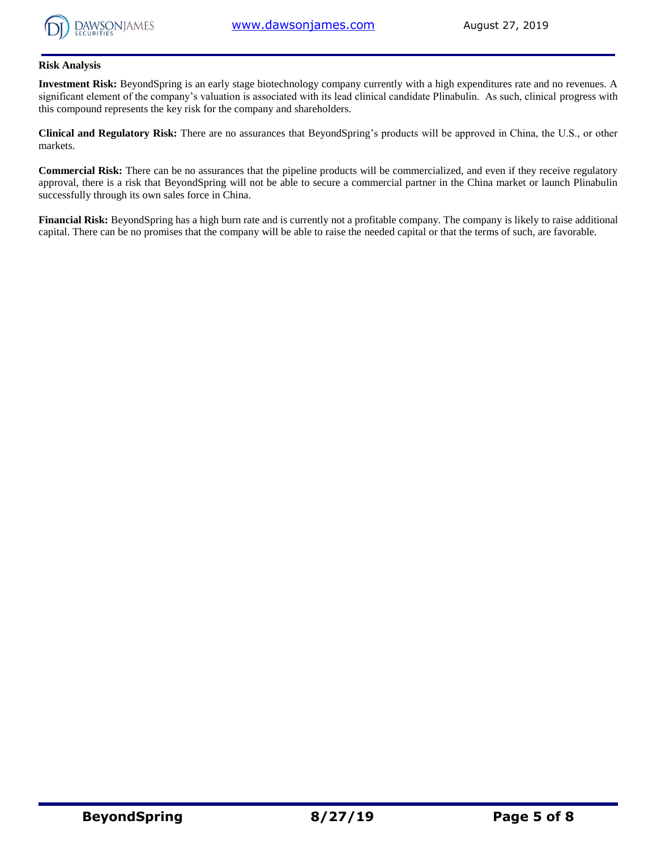

#### **Risk Analysis**

**Investment Risk:** BeyondSpring is an early stage biotechnology company currently with a high expenditures rate and no revenues. A significant element of the company's valuation is associated with its lead clinical candidate Plinabulin. As such, clinical progress with this compound represents the key risk for the company and shareholders.

**Clinical and Regulatory Risk:** There are no assurances that BeyondSpring's products will be approved in China, the U.S., or other markets.

**Commercial Risk:** There can be no assurances that the pipeline products will be commercialized, and even if they receive regulatory approval, there is a risk that BeyondSpring will not be able to secure a commercial partner in the China market or launch Plinabulin successfully through its own sales force in China.

**Financial Risk:** BeyondSpring has a high burn rate and is currently not a profitable company. The company is likely to raise additional capital. There can be no promises that the company will be able to raise the needed capital or that the terms of such, are favorable.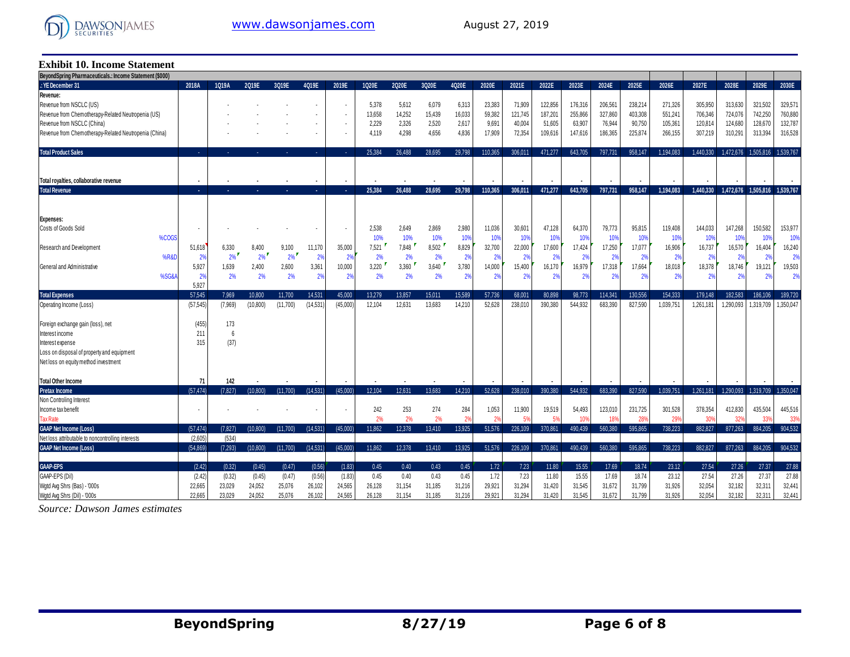

## **Exhibit 10. Income Statement**

| 2025E<br>2028E<br>2029E<br>2030E<br>2018A<br>1Q19A<br>3019E<br>4Q19E<br>2019E<br>2Q20E<br>3Q20E<br>4Q20E<br>2020E<br>2021E<br>2022E<br>2024E<br>2026E<br>2027E<br>2019E<br>1020E<br>2023E<br>71,909<br>238,214<br>321,502<br>329,571<br>5.378<br>6,313<br>23,383<br>122,856<br>176,316<br>206,561<br>271.326<br>305.950<br>313,630<br>5,612<br>6,079<br>$\overline{\phantom{a}}$<br>14,252<br>15,439<br>16,033<br>187,201<br>255,866<br>327,860<br>403,308<br>551,241<br>724,076<br>742,250<br>760,880<br>Revenue from Chemotherapy-Related Neutropenia (US)<br>13,658<br>59,382<br>121,745<br>706,346<br>90,750<br>128,670<br>132,787<br>Revenue from NSCLC (China)<br>2,229<br>2,326<br>2,520<br>2,617<br>9,691<br>40,004<br>51,605<br>63,907<br>76,944<br>105,361<br>120,814<br>124,680<br>$\blacksquare$<br>Revenue from Chemotherapy-Related Neutropenia (China)<br>4,298<br>4,656<br>4,836<br>225,874<br>310,291<br>313,394<br>316,528<br>4,119<br>17,909<br>72,354<br>109,616<br>147,616<br>186,365<br>266,155<br>307,219<br>$\mathbf{r}$<br>25.384<br>26.488<br>28.695<br>29.798<br>110,365<br>306,011<br>471,277<br>643.705<br>797,731<br>958.147<br>1,194,083<br>1.440.330<br>1,472,676<br>1,505,816<br>1,539,767<br>$\Delta \phi$<br>$\Delta \phi$<br>×<br>У.<br>Total royalties, collaborative revenue<br>958.147<br><b>Total Revenue</b><br>25.384<br>26.488<br>28.695<br>29.798<br>110,365<br>306.011<br>471.277<br>643,705<br>797.731<br>1.194.083<br>1.440.330<br>1.472.676<br>1.505.816<br>1.539.767<br>$\sim$<br>×.<br>47,128<br>95,815<br>147,268<br>150,582<br>153,977<br>2,538<br>2.649<br>2,869<br>2,980<br>11,036<br>30,60<br>64,370<br>79,773<br>119,408<br>144,033<br>$\blacksquare$<br>%COGS<br>10%<br>10%<br>10%<br>10%<br>10%<br>10%<br>10%<br>10%<br>10%<br>10%<br>10%<br>10%<br>10%<br>10%<br>10%<br>7,848<br>8,502<br>6,330<br>8,400<br>35,000<br>7,521<br>8,829<br>22,000<br>17,600<br>17,424<br>17,250<br>17,077<br>16,906<br>16,737<br>16,570<br>16,404<br>16,240<br>51,618<br>9,100<br>11,170<br>32,700<br>2%<br>2%<br>2%<br>2%<br>2%<br>2%<br>2%<br>2%<br>2%<br><b>%R&amp;D</b><br>2%<br>2%<br>2%<br>2%<br>2%<br>2%<br>2%<br>2%<br>2 <sup>9</sup><br>2%<br>2%<br>2%<br>5,927<br>10,000<br>3,220<br>3,360<br>3,640<br>3,780<br>14,000<br>15,400<br>16,170<br>16.979<br>17,664<br>18,378<br>18,746<br>19,503<br>1,639<br>2,400<br>2,600<br>3,361<br>17,318<br>18,018<br>19,121<br>%SG&A<br>2%<br>2%<br>2%<br>2%<br>2%<br>2%<br>2%<br>2%<br>2%<br>2%<br>2%<br>2%<br>2%<br>2%<br>2%<br>2%<br>2%<br>2%<br>2%<br>2%<br>2%<br>5,927<br>57.545<br>7.969<br>15.011<br>130.556<br>186.106<br>10.800<br>11.700<br>14.531<br>45.000<br>13.279<br>13.857<br>15.589<br>57.736<br>68.001<br>80.898<br>98.773<br>114.341<br>154,333<br>179.148<br>182.583<br>189,720<br>544.932<br>(57, 545)<br>(45,000)<br>12.631<br>13,683<br>14,210<br>52,628<br>390,380<br>683,390<br>827,590<br>1.290.093<br>1,319,709<br>1,350,047<br>(7,969)<br>(10, 800)<br>(11,700)<br>(14.531)<br>12.104<br>238,010<br>1.039.751<br>1.261.181<br>(455)<br>173<br>211<br>6<br>(37)<br>315 | BeyondSpring Pharmaceuticals.: Income Statement (\$000) |  |  |  |  |  |  |  |  |  |  |  |  |  |  |  |  |  |
|----------------------------------------------------------------------------------------------------------------------------------------------------------------------------------------------------------------------------------------------------------------------------------------------------------------------------------------------------------------------------------------------------------------------------------------------------------------------------------------------------------------------------------------------------------------------------------------------------------------------------------------------------------------------------------------------------------------------------------------------------------------------------------------------------------------------------------------------------------------------------------------------------------------------------------------------------------------------------------------------------------------------------------------------------------------------------------------------------------------------------------------------------------------------------------------------------------------------------------------------------------------------------------------------------------------------------------------------------------------------------------------------------------------------------------------------------------------------------------------------------------------------------------------------------------------------------------------------------------------------------------------------------------------------------------------------------------------------------------------------------------------------------------------------------------------------------------------------------------------------------------------------------------------------------------------------------------------------------------------------------------------------------------------------------------------------------------------------------------------------------------------------------------------------------------------------------------------------------------------------------------------------------------------------------------------------------------------------------------------------------------------------------------------------------------------------------------------------------------------------------------------------------------------------------------------------------------------------------------------------------------------------------------------------------------------------------------------------------------------------------------------------------------------------------------------------------------------------------------------------------------------------------------------------------------------------------------------------------------------------------------------------------------------------------------------------------------------|---------------------------------------------------------|--|--|--|--|--|--|--|--|--|--|--|--|--|--|--|--|--|
|                                                                                                                                                                                                                                                                                                                                                                                                                                                                                                                                                                                                                                                                                                                                                                                                                                                                                                                                                                                                                                                                                                                                                                                                                                                                                                                                                                                                                                                                                                                                                                                                                                                                                                                                                                                                                                                                                                                                                                                                                                                                                                                                                                                                                                                                                                                                                                                                                                                                                                                                                                                                                                                                                                                                                                                                                                                                                                                                                                                                                                                                                        | .: YE December 31                                       |  |  |  |  |  |  |  |  |  |  |  |  |  |  |  |  |  |
|                                                                                                                                                                                                                                                                                                                                                                                                                                                                                                                                                                                                                                                                                                                                                                                                                                                                                                                                                                                                                                                                                                                                                                                                                                                                                                                                                                                                                                                                                                                                                                                                                                                                                                                                                                                                                                                                                                                                                                                                                                                                                                                                                                                                                                                                                                                                                                                                                                                                                                                                                                                                                                                                                                                                                                                                                                                                                                                                                                                                                                                                                        | Revenue:                                                |  |  |  |  |  |  |  |  |  |  |  |  |  |  |  |  |  |
|                                                                                                                                                                                                                                                                                                                                                                                                                                                                                                                                                                                                                                                                                                                                                                                                                                                                                                                                                                                                                                                                                                                                                                                                                                                                                                                                                                                                                                                                                                                                                                                                                                                                                                                                                                                                                                                                                                                                                                                                                                                                                                                                                                                                                                                                                                                                                                                                                                                                                                                                                                                                                                                                                                                                                                                                                                                                                                                                                                                                                                                                                        | Revenue from NSCLC (US)                                 |  |  |  |  |  |  |  |  |  |  |  |  |  |  |  |  |  |
|                                                                                                                                                                                                                                                                                                                                                                                                                                                                                                                                                                                                                                                                                                                                                                                                                                                                                                                                                                                                                                                                                                                                                                                                                                                                                                                                                                                                                                                                                                                                                                                                                                                                                                                                                                                                                                                                                                                                                                                                                                                                                                                                                                                                                                                                                                                                                                                                                                                                                                                                                                                                                                                                                                                                                                                                                                                                                                                                                                                                                                                                                        |                                                         |  |  |  |  |  |  |  |  |  |  |  |  |  |  |  |  |  |
|                                                                                                                                                                                                                                                                                                                                                                                                                                                                                                                                                                                                                                                                                                                                                                                                                                                                                                                                                                                                                                                                                                                                                                                                                                                                                                                                                                                                                                                                                                                                                                                                                                                                                                                                                                                                                                                                                                                                                                                                                                                                                                                                                                                                                                                                                                                                                                                                                                                                                                                                                                                                                                                                                                                                                                                                                                                                                                                                                                                                                                                                                        |                                                         |  |  |  |  |  |  |  |  |  |  |  |  |  |  |  |  |  |
|                                                                                                                                                                                                                                                                                                                                                                                                                                                                                                                                                                                                                                                                                                                                                                                                                                                                                                                                                                                                                                                                                                                                                                                                                                                                                                                                                                                                                                                                                                                                                                                                                                                                                                                                                                                                                                                                                                                                                                                                                                                                                                                                                                                                                                                                                                                                                                                                                                                                                                                                                                                                                                                                                                                                                                                                                                                                                                                                                                                                                                                                                        |                                                         |  |  |  |  |  |  |  |  |  |  |  |  |  |  |  |  |  |
|                                                                                                                                                                                                                                                                                                                                                                                                                                                                                                                                                                                                                                                                                                                                                                                                                                                                                                                                                                                                                                                                                                                                                                                                                                                                                                                                                                                                                                                                                                                                                                                                                                                                                                                                                                                                                                                                                                                                                                                                                                                                                                                                                                                                                                                                                                                                                                                                                                                                                                                                                                                                                                                                                                                                                                                                                                                                                                                                                                                                                                                                                        |                                                         |  |  |  |  |  |  |  |  |  |  |  |  |  |  |  |  |  |
|                                                                                                                                                                                                                                                                                                                                                                                                                                                                                                                                                                                                                                                                                                                                                                                                                                                                                                                                                                                                                                                                                                                                                                                                                                                                                                                                                                                                                                                                                                                                                                                                                                                                                                                                                                                                                                                                                                                                                                                                                                                                                                                                                                                                                                                                                                                                                                                                                                                                                                                                                                                                                                                                                                                                                                                                                                                                                                                                                                                                                                                                                        | <b>Total Product Sales</b>                              |  |  |  |  |  |  |  |  |  |  |  |  |  |  |  |  |  |
|                                                                                                                                                                                                                                                                                                                                                                                                                                                                                                                                                                                                                                                                                                                                                                                                                                                                                                                                                                                                                                                                                                                                                                                                                                                                                                                                                                                                                                                                                                                                                                                                                                                                                                                                                                                                                                                                                                                                                                                                                                                                                                                                                                                                                                                                                                                                                                                                                                                                                                                                                                                                                                                                                                                                                                                                                                                                                                                                                                                                                                                                                        |                                                         |  |  |  |  |  |  |  |  |  |  |  |  |  |  |  |  |  |
|                                                                                                                                                                                                                                                                                                                                                                                                                                                                                                                                                                                                                                                                                                                                                                                                                                                                                                                                                                                                                                                                                                                                                                                                                                                                                                                                                                                                                                                                                                                                                                                                                                                                                                                                                                                                                                                                                                                                                                                                                                                                                                                                                                                                                                                                                                                                                                                                                                                                                                                                                                                                                                                                                                                                                                                                                                                                                                                                                                                                                                                                                        |                                                         |  |  |  |  |  |  |  |  |  |  |  |  |  |  |  |  |  |
|                                                                                                                                                                                                                                                                                                                                                                                                                                                                                                                                                                                                                                                                                                                                                                                                                                                                                                                                                                                                                                                                                                                                                                                                                                                                                                                                                                                                                                                                                                                                                                                                                                                                                                                                                                                                                                                                                                                                                                                                                                                                                                                                                                                                                                                                                                                                                                                                                                                                                                                                                                                                                                                                                                                                                                                                                                                                                                                                                                                                                                                                                        |                                                         |  |  |  |  |  |  |  |  |  |  |  |  |  |  |  |  |  |
|                                                                                                                                                                                                                                                                                                                                                                                                                                                                                                                                                                                                                                                                                                                                                                                                                                                                                                                                                                                                                                                                                                                                                                                                                                                                                                                                                                                                                                                                                                                                                                                                                                                                                                                                                                                                                                                                                                                                                                                                                                                                                                                                                                                                                                                                                                                                                                                                                                                                                                                                                                                                                                                                                                                                                                                                                                                                                                                                                                                                                                                                                        |                                                         |  |  |  |  |  |  |  |  |  |  |  |  |  |  |  |  |  |
|                                                                                                                                                                                                                                                                                                                                                                                                                                                                                                                                                                                                                                                                                                                                                                                                                                                                                                                                                                                                                                                                                                                                                                                                                                                                                                                                                                                                                                                                                                                                                                                                                                                                                                                                                                                                                                                                                                                                                                                                                                                                                                                                                                                                                                                                                                                                                                                                                                                                                                                                                                                                                                                                                                                                                                                                                                                                                                                                                                                                                                                                                        |                                                         |  |  |  |  |  |  |  |  |  |  |  |  |  |  |  |  |  |
|                                                                                                                                                                                                                                                                                                                                                                                                                                                                                                                                                                                                                                                                                                                                                                                                                                                                                                                                                                                                                                                                                                                                                                                                                                                                                                                                                                                                                                                                                                                                                                                                                                                                                                                                                                                                                                                                                                                                                                                                                                                                                                                                                                                                                                                                                                                                                                                                                                                                                                                                                                                                                                                                                                                                                                                                                                                                                                                                                                                                                                                                                        | <b>Expenses:</b>                                        |  |  |  |  |  |  |  |  |  |  |  |  |  |  |  |  |  |
|                                                                                                                                                                                                                                                                                                                                                                                                                                                                                                                                                                                                                                                                                                                                                                                                                                                                                                                                                                                                                                                                                                                                                                                                                                                                                                                                                                                                                                                                                                                                                                                                                                                                                                                                                                                                                                                                                                                                                                                                                                                                                                                                                                                                                                                                                                                                                                                                                                                                                                                                                                                                                                                                                                                                                                                                                                                                                                                                                                                                                                                                                        | Costs of Goods Sold                                     |  |  |  |  |  |  |  |  |  |  |  |  |  |  |  |  |  |
|                                                                                                                                                                                                                                                                                                                                                                                                                                                                                                                                                                                                                                                                                                                                                                                                                                                                                                                                                                                                                                                                                                                                                                                                                                                                                                                                                                                                                                                                                                                                                                                                                                                                                                                                                                                                                                                                                                                                                                                                                                                                                                                                                                                                                                                                                                                                                                                                                                                                                                                                                                                                                                                                                                                                                                                                                                                                                                                                                                                                                                                                                        |                                                         |  |  |  |  |  |  |  |  |  |  |  |  |  |  |  |  |  |
|                                                                                                                                                                                                                                                                                                                                                                                                                                                                                                                                                                                                                                                                                                                                                                                                                                                                                                                                                                                                                                                                                                                                                                                                                                                                                                                                                                                                                                                                                                                                                                                                                                                                                                                                                                                                                                                                                                                                                                                                                                                                                                                                                                                                                                                                                                                                                                                                                                                                                                                                                                                                                                                                                                                                                                                                                                                                                                                                                                                                                                                                                        | Research and Development                                |  |  |  |  |  |  |  |  |  |  |  |  |  |  |  |  |  |
|                                                                                                                                                                                                                                                                                                                                                                                                                                                                                                                                                                                                                                                                                                                                                                                                                                                                                                                                                                                                                                                                                                                                                                                                                                                                                                                                                                                                                                                                                                                                                                                                                                                                                                                                                                                                                                                                                                                                                                                                                                                                                                                                                                                                                                                                                                                                                                                                                                                                                                                                                                                                                                                                                                                                                                                                                                                                                                                                                                                                                                                                                        |                                                         |  |  |  |  |  |  |  |  |  |  |  |  |  |  |  |  |  |
|                                                                                                                                                                                                                                                                                                                                                                                                                                                                                                                                                                                                                                                                                                                                                                                                                                                                                                                                                                                                                                                                                                                                                                                                                                                                                                                                                                                                                                                                                                                                                                                                                                                                                                                                                                                                                                                                                                                                                                                                                                                                                                                                                                                                                                                                                                                                                                                                                                                                                                                                                                                                                                                                                                                                                                                                                                                                                                                                                                                                                                                                                        | General and Administrative                              |  |  |  |  |  |  |  |  |  |  |  |  |  |  |  |  |  |
|                                                                                                                                                                                                                                                                                                                                                                                                                                                                                                                                                                                                                                                                                                                                                                                                                                                                                                                                                                                                                                                                                                                                                                                                                                                                                                                                                                                                                                                                                                                                                                                                                                                                                                                                                                                                                                                                                                                                                                                                                                                                                                                                                                                                                                                                                                                                                                                                                                                                                                                                                                                                                                                                                                                                                                                                                                                                                                                                                                                                                                                                                        |                                                         |  |  |  |  |  |  |  |  |  |  |  |  |  |  |  |  |  |
|                                                                                                                                                                                                                                                                                                                                                                                                                                                                                                                                                                                                                                                                                                                                                                                                                                                                                                                                                                                                                                                                                                                                                                                                                                                                                                                                                                                                                                                                                                                                                                                                                                                                                                                                                                                                                                                                                                                                                                                                                                                                                                                                                                                                                                                                                                                                                                                                                                                                                                                                                                                                                                                                                                                                                                                                                                                                                                                                                                                                                                                                                        |                                                         |  |  |  |  |  |  |  |  |  |  |  |  |  |  |  |  |  |
|                                                                                                                                                                                                                                                                                                                                                                                                                                                                                                                                                                                                                                                                                                                                                                                                                                                                                                                                                                                                                                                                                                                                                                                                                                                                                                                                                                                                                                                                                                                                                                                                                                                                                                                                                                                                                                                                                                                                                                                                                                                                                                                                                                                                                                                                                                                                                                                                                                                                                                                                                                                                                                                                                                                                                                                                                                                                                                                                                                                                                                                                                        | <b>Total Expenses</b>                                   |  |  |  |  |  |  |  |  |  |  |  |  |  |  |  |  |  |
|                                                                                                                                                                                                                                                                                                                                                                                                                                                                                                                                                                                                                                                                                                                                                                                                                                                                                                                                                                                                                                                                                                                                                                                                                                                                                                                                                                                                                                                                                                                                                                                                                                                                                                                                                                                                                                                                                                                                                                                                                                                                                                                                                                                                                                                                                                                                                                                                                                                                                                                                                                                                                                                                                                                                                                                                                                                                                                                                                                                                                                                                                        | Operating Income (Loss)                                 |  |  |  |  |  |  |  |  |  |  |  |  |  |  |  |  |  |
|                                                                                                                                                                                                                                                                                                                                                                                                                                                                                                                                                                                                                                                                                                                                                                                                                                                                                                                                                                                                                                                                                                                                                                                                                                                                                                                                                                                                                                                                                                                                                                                                                                                                                                                                                                                                                                                                                                                                                                                                                                                                                                                                                                                                                                                                                                                                                                                                                                                                                                                                                                                                                                                                                                                                                                                                                                                                                                                                                                                                                                                                                        |                                                         |  |  |  |  |  |  |  |  |  |  |  |  |  |  |  |  |  |
|                                                                                                                                                                                                                                                                                                                                                                                                                                                                                                                                                                                                                                                                                                                                                                                                                                                                                                                                                                                                                                                                                                                                                                                                                                                                                                                                                                                                                                                                                                                                                                                                                                                                                                                                                                                                                                                                                                                                                                                                                                                                                                                                                                                                                                                                                                                                                                                                                                                                                                                                                                                                                                                                                                                                                                                                                                                                                                                                                                                                                                                                                        | Foreign exchange gain (loss), net                       |  |  |  |  |  |  |  |  |  |  |  |  |  |  |  |  |  |
|                                                                                                                                                                                                                                                                                                                                                                                                                                                                                                                                                                                                                                                                                                                                                                                                                                                                                                                                                                                                                                                                                                                                                                                                                                                                                                                                                                                                                                                                                                                                                                                                                                                                                                                                                                                                                                                                                                                                                                                                                                                                                                                                                                                                                                                                                                                                                                                                                                                                                                                                                                                                                                                                                                                                                                                                                                                                                                                                                                                                                                                                                        | Interest income                                         |  |  |  |  |  |  |  |  |  |  |  |  |  |  |  |  |  |
|                                                                                                                                                                                                                                                                                                                                                                                                                                                                                                                                                                                                                                                                                                                                                                                                                                                                                                                                                                                                                                                                                                                                                                                                                                                                                                                                                                                                                                                                                                                                                                                                                                                                                                                                                                                                                                                                                                                                                                                                                                                                                                                                                                                                                                                                                                                                                                                                                                                                                                                                                                                                                                                                                                                                                                                                                                                                                                                                                                                                                                                                                        | Interest expense                                        |  |  |  |  |  |  |  |  |  |  |  |  |  |  |  |  |  |
|                                                                                                                                                                                                                                                                                                                                                                                                                                                                                                                                                                                                                                                                                                                                                                                                                                                                                                                                                                                                                                                                                                                                                                                                                                                                                                                                                                                                                                                                                                                                                                                                                                                                                                                                                                                                                                                                                                                                                                                                                                                                                                                                                                                                                                                                                                                                                                                                                                                                                                                                                                                                                                                                                                                                                                                                                                                                                                                                                                                                                                                                                        | Loss on disposal of property and equipment              |  |  |  |  |  |  |  |  |  |  |  |  |  |  |  |  |  |
|                                                                                                                                                                                                                                                                                                                                                                                                                                                                                                                                                                                                                                                                                                                                                                                                                                                                                                                                                                                                                                                                                                                                                                                                                                                                                                                                                                                                                                                                                                                                                                                                                                                                                                                                                                                                                                                                                                                                                                                                                                                                                                                                                                                                                                                                                                                                                                                                                                                                                                                                                                                                                                                                                                                                                                                                                                                                                                                                                                                                                                                                                        | Net loss on equity method investment                    |  |  |  |  |  |  |  |  |  |  |  |  |  |  |  |  |  |
|                                                                                                                                                                                                                                                                                                                                                                                                                                                                                                                                                                                                                                                                                                                                                                                                                                                                                                                                                                                                                                                                                                                                                                                                                                                                                                                                                                                                                                                                                                                                                                                                                                                                                                                                                                                                                                                                                                                                                                                                                                                                                                                                                                                                                                                                                                                                                                                                                                                                                                                                                                                                                                                                                                                                                                                                                                                                                                                                                                                                                                                                                        |                                                         |  |  |  |  |  |  |  |  |  |  |  |  |  |  |  |  |  |
| 71<br>142<br>827.590<br>544.932                                                                                                                                                                                                                                                                                                                                                                                                                                                                                                                                                                                                                                                                                                                                                                                                                                                                                                                                                                                                                                                                                                                                                                                                                                                                                                                                                                                                                                                                                                                                                                                                                                                                                                                                                                                                                                                                                                                                                                                                                                                                                                                                                                                                                                                                                                                                                                                                                                                                                                                                                                                                                                                                                                                                                                                                                                                                                                                                                                                                                                                        | <b>Total Other Income</b>                               |  |  |  |  |  |  |  |  |  |  |  |  |  |  |  |  |  |
| (14.531)<br>(45.000)<br>52.628<br>238.010<br>390.380<br>683.390<br>1.039.751<br>1.261.181<br>1.290.093<br>1.350.047<br>(57.474)<br>(7.827)<br>(10.800)<br>(11,700)<br>12.104<br>12.631<br>13.683<br>14.210<br>1.319.709                                                                                                                                                                                                                                                                                                                                                                                                                                                                                                                                                                                                                                                                                                                                                                                                                                                                                                                                                                                                                                                                                                                                                                                                                                                                                                                                                                                                                                                                                                                                                                                                                                                                                                                                                                                                                                                                                                                                                                                                                                                                                                                                                                                                                                                                                                                                                                                                                                                                                                                                                                                                                                                                                                                                                                                                                                                                | <b>Pretax Income</b><br>Non Controling Interest         |  |  |  |  |  |  |  |  |  |  |  |  |  |  |  |  |  |
| 242<br>253<br>274<br>284<br>1,053<br>11,900<br>19,519<br>54,493<br>123,010<br>231,725<br>301,528<br>378,354<br>412,830<br>435,504<br>445,516                                                                                                                                                                                                                                                                                                                                                                                                                                                                                                                                                                                                                                                                                                                                                                                                                                                                                                                                                                                                                                                                                                                                                                                                                                                                                                                                                                                                                                                                                                                                                                                                                                                                                                                                                                                                                                                                                                                                                                                                                                                                                                                                                                                                                                                                                                                                                                                                                                                                                                                                                                                                                                                                                                                                                                                                                                                                                                                                           | Income tax benefit                                      |  |  |  |  |  |  |  |  |  |  |  |  |  |  |  |  |  |
| 2%<br>2%<br>2%<br>2%<br>5%<br>10%<br>28%<br>29%<br>329<br>33%<br>2%<br>-51<br>18%<br>30 <sup>o</sup><br>33 <sup>0</sup>                                                                                                                                                                                                                                                                                                                                                                                                                                                                                                                                                                                                                                                                                                                                                                                                                                                                                                                                                                                                                                                                                                                                                                                                                                                                                                                                                                                                                                                                                                                                                                                                                                                                                                                                                                                                                                                                                                                                                                                                                                                                                                                                                                                                                                                                                                                                                                                                                                                                                                                                                                                                                                                                                                                                                                                                                                                                                                                                                                | <b>Tax Rate</b>                                         |  |  |  |  |  |  |  |  |  |  |  |  |  |  |  |  |  |
|                                                                                                                                                                                                                                                                                                                                                                                                                                                                                                                                                                                                                                                                                                                                                                                                                                                                                                                                                                                                                                                                                                                                                                                                                                                                                                                                                                                                                                                                                                                                                                                                                                                                                                                                                                                                                                                                                                                                                                                                                                                                                                                                                                                                                                                                                                                                                                                                                                                                                                                                                                                                                                                                                                                                                                                                                                                                                                                                                                                                                                                                                        |                                                         |  |  |  |  |  |  |  |  |  |  |  |  |  |  |  |  |  |
| 738,223<br>904,532<br>(57, 474)<br>(14, 531)<br>11.862<br>12,378<br>13,410<br>13,925<br>51,576<br>226,109<br>370,861<br>490.439<br>560.380<br>595,865<br>882,827<br>877,263<br>884,205<br>(7.827)<br>(10, 800)<br>(11,700)<br>(45,000)                                                                                                                                                                                                                                                                                                                                                                                                                                                                                                                                                                                                                                                                                                                                                                                                                                                                                                                                                                                                                                                                                                                                                                                                                                                                                                                                                                                                                                                                                                                                                                                                                                                                                                                                                                                                                                                                                                                                                                                                                                                                                                                                                                                                                                                                                                                                                                                                                                                                                                                                                                                                                                                                                                                                                                                                                                                 | <b>GAAP Net Income (Loss)</b>                           |  |  |  |  |  |  |  |  |  |  |  |  |  |  |  |  |  |
| (2,605)<br>(534)                                                                                                                                                                                                                                                                                                                                                                                                                                                                                                                                                                                                                                                                                                                                                                                                                                                                                                                                                                                                                                                                                                                                                                                                                                                                                                                                                                                                                                                                                                                                                                                                                                                                                                                                                                                                                                                                                                                                                                                                                                                                                                                                                                                                                                                                                                                                                                                                                                                                                                                                                                                                                                                                                                                                                                                                                                                                                                                                                                                                                                                                       | Net loss attributable to noncontrolling interests       |  |  |  |  |  |  |  |  |  |  |  |  |  |  |  |  |  |
| (14.531)<br>13.925<br>226.109<br>490.439<br>560.380<br>595.865<br>738.223<br>904.532<br>(54.869)<br>(7.293)<br>(10.800)<br>(11.700)<br>(45.000)<br>11.862<br>12.378<br>13.410<br>51.576<br>370.861<br>882.827<br>877.263<br>884.205                                                                                                                                                                                                                                                                                                                                                                                                                                                                                                                                                                                                                                                                                                                                                                                                                                                                                                                                                                                                                                                                                                                                                                                                                                                                                                                                                                                                                                                                                                                                                                                                                                                                                                                                                                                                                                                                                                                                                                                                                                                                                                                                                                                                                                                                                                                                                                                                                                                                                                                                                                                                                                                                                                                                                                                                                                                    | <b>GAAP Net Income (Loss)</b>                           |  |  |  |  |  |  |  |  |  |  |  |  |  |  |  |  |  |
| 17.69<br>27.26<br>27.37<br>27.88<br>(0.32)<br>(0.47)<br>(0.56)<br>(1.83)<br>0.45<br>0.40<br>0.43<br>0.45<br>1.72<br>7.23<br>11.80<br>15.55<br>18.74<br>23.12<br>27.54<br>(2.42)<br>(0.45)                                                                                                                                                                                                                                                                                                                                                                                                                                                                                                                                                                                                                                                                                                                                                                                                                                                                                                                                                                                                                                                                                                                                                                                                                                                                                                                                                                                                                                                                                                                                                                                                                                                                                                                                                                                                                                                                                                                                                                                                                                                                                                                                                                                                                                                                                                                                                                                                                                                                                                                                                                                                                                                                                                                                                                                                                                                                                              | <b>GAAP-EPS</b>                                         |  |  |  |  |  |  |  |  |  |  |  |  |  |  |  |  |  |
| 15.55<br>(0.56)<br>7.23<br>17.69<br>18.74<br>27.26<br>27.37<br>27.88<br>(2.42)<br>(0.32)<br>(0.45)<br>(0.47)<br>(1.83)<br>0.45<br>0.40<br>0.43<br>0.45<br>1.72<br>11.80<br>23.12<br>27.54                                                                                                                                                                                                                                                                                                                                                                                                                                                                                                                                                                                                                                                                                                                                                                                                                                                                                                                                                                                                                                                                                                                                                                                                                                                                                                                                                                                                                                                                                                                                                                                                                                                                                                                                                                                                                                                                                                                                                                                                                                                                                                                                                                                                                                                                                                                                                                                                                                                                                                                                                                                                                                                                                                                                                                                                                                                                                              | GAAP-EPS (Dil)                                          |  |  |  |  |  |  |  |  |  |  |  |  |  |  |  |  |  |
| 25,076<br>24,565<br>31,294<br>31,420<br>31.545<br>31,799<br>31,926<br>32,054<br>32,182<br>32,441<br>22,665<br>23,029<br>24,052<br>26,102<br>26,128<br>31,154<br>31,185<br>31,216<br>29,921<br>31,672<br>32,311                                                                                                                                                                                                                                                                                                                                                                                                                                                                                                                                                                                                                                                                                                                                                                                                                                                                                                                                                                                                                                                                                                                                                                                                                                                                                                                                                                                                                                                                                                                                                                                                                                                                                                                                                                                                                                                                                                                                                                                                                                                                                                                                                                                                                                                                                                                                                                                                                                                                                                                                                                                                                                                                                                                                                                                                                                                                         | Wgtd Avg Shrs (Bas) - '000s                             |  |  |  |  |  |  |  |  |  |  |  |  |  |  |  |  |  |
| 22,665<br>24,052<br>25,076<br>24,565<br>29,921<br>31,294<br>31,420<br>31.545<br>31,799<br>31,926<br>32,182<br>23,029<br>26,102<br>26,128<br>31,154<br>31,185<br>31,216<br>31,672<br>32,054<br>32,311<br>32,441                                                                                                                                                                                                                                                                                                                                                                                                                                                                                                                                                                                                                                                                                                                                                                                                                                                                                                                                                                                                                                                                                                                                                                                                                                                                                                                                                                                                                                                                                                                                                                                                                                                                                                                                                                                                                                                                                                                                                                                                                                                                                                                                                                                                                                                                                                                                                                                                                                                                                                                                                                                                                                                                                                                                                                                                                                                                         | Watd Ava Shrs (Dil) - '000s                             |  |  |  |  |  |  |  |  |  |  |  |  |  |  |  |  |  |

Source: Dawson James estimates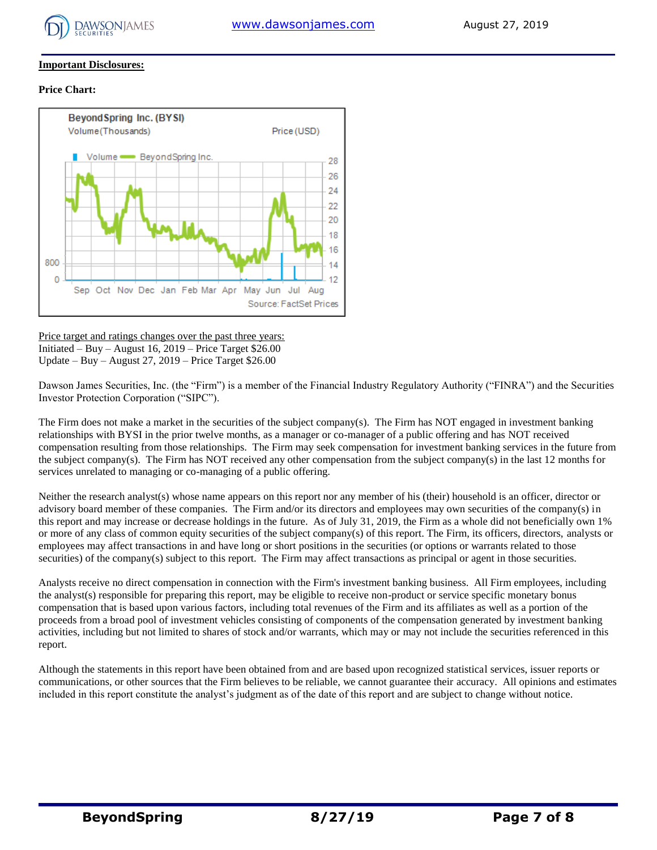

#### **Important Disclosures:**

#### **Price Chart:**



Price target and ratings changes over the past three years: Initiated – Buy – August 16, 2019 – Price Target \$26.00 Update – Buy – August 27, 2019 – Price Target \$26.00

Dawson James Securities, Inc. (the "Firm") is a member of the Financial Industry Regulatory Authority ("FINRA") and the Securities Investor Protection Corporation ("SIPC").

The Firm does not make a market in the securities of the subject company(s). The Firm has NOT engaged in investment banking relationships with BYSI in the prior twelve months, as a manager or co-manager of a public offering and has NOT received compensation resulting from those relationships. The Firm may seek compensation for investment banking services in the future from the subject company(s). The Firm has NOT received any other compensation from the subject company(s) in the last 12 months for services unrelated to managing or co-managing of a public offering.

Neither the research analyst(s) whose name appears on this report nor any member of his (their) household is an officer, director or advisory board member of these companies. The Firm and/or its directors and employees may own securities of the company(s) in this report and may increase or decrease holdings in the future. As of July 31, 2019, the Firm as a whole did not beneficially own 1% or more of any class of common equity securities of the subject company(s) of this report. The Firm, its officers, directors, analysts or employees may affect transactions in and have long or short positions in the securities (or options or warrants related to those securities) of the company(s) subject to this report. The Firm may affect transactions as principal or agent in those securities.

Analysts receive no direct compensation in connection with the Firm's investment banking business. All Firm employees, including the analyst(s) responsible for preparing this report, may be eligible to receive non-product or service specific monetary bonus compensation that is based upon various factors, including total revenues of the Firm and its affiliates as well as a portion of the proceeds from a broad pool of investment vehicles consisting of components of the compensation generated by investment banking activities, including but not limited to shares of stock and/or warrants, which may or may not include the securities referenced in this report.

Although the statements in this report have been obtained from and are based upon recognized statistical services, issuer reports or communications, or other sources that the Firm believes to be reliable, we cannot guarantee their accuracy. All opinions and estimates included in this report constitute the analyst's judgment as of the date of this report and are subject to change without notice.